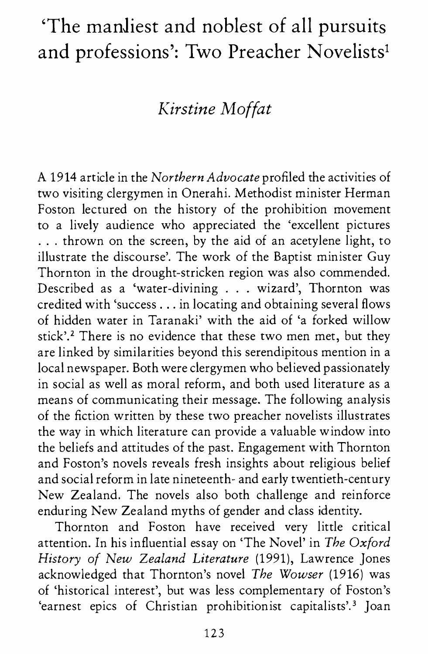# **'The manJiest and noblest of all pursuits and professions': Two Preacher Novelists1**

## *Kirstine Moffat*

A 1914 article in the *Northern Advocate* profiled the activities of two visiting clergymen in Onerahi. Methodist minister Herman Foston lectured on the history of the prohibition movement to a lively audience who appreciated the 'excellent pictures ... thrown on the screen, by the aid of an acetylene light, to illustrate the discourse'. The work of the Baptist minister Guy Thornton in the drought-stricken region was also commended. Described as a 'water-divining . . . wizard', Thornton was credited with 'success ... in locating and obtaining several flows of hidden water in Taranaki' with the aid of 'a forked willow stick'.<sup>2</sup> There is no evidence that these two men met, but they are linked by similarities beyond this serendipitous mention in a local newspaper. Both were clergymen who believed passionately in social as well as moral reform, and both used literature as a means of communicating their message. The following analysis of the fiction written by these two preacher novelists illustrates the way in which literature can provide a valuable window into the beliefs and attitudes of the past. Engagement with Thornton and Foston's novels reveals fresh insights about religious belief and social reform in late nineteenth- and early twentieth-century New Zealand. The novels also both challenge and reinforce enduring New Zealand myths of gender and class identity.

Thornton and Foston have received very little critical attention. In his influential essay on 'The Novel' in *The Oxford History of New Zealand Literature* (1991), Lawrence Jones acknowledged that Thornton's novel *The Wowser* (1916) was of 'historical interest', but was less complementary of Foston's 'earnest epics of Christian prohibitionist capitalists'.<sup>3</sup> Joan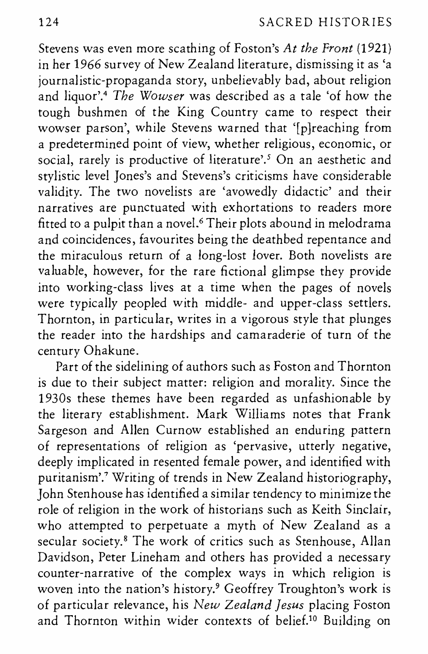Stevens was even more scathing of Foston's *At the Front* (1921) in her 1966 survey of New Zealand literature, dismissing it as 'a journalistic-propaganda story, unbelievably bad, about religion and liquor'.4 *The Wowser* was described as a tale 'of how the tough bushmen of the King Country came to respect their wowser parson', while Stevens warned that '[p]reaching from a predetermined point of view, whether religious, economic, or social, rarely is productive of literature'.<sup>5</sup> On an aesthetic and stylistic level Jones's and Stevens's criticisms have considerable validity. The two novelists are 'avowedly didactic' and their narratives are punctuated with exhortations to readers more fitted to a pulpit than a novel.6 Their plots abound in melodrama and coincidences, favourites being the deathbed repentance and the miraculous return of a long-lost lover. Both novelists are valuable, however, for the rare fictional glimpse they provide into working-class lives at a time when the pages of novels were typically peopled with middle- and upper-class settlers. Thornton, in particular, writes in a vigorous style that plunges the reader into the hardships and camaraderie of turn of the century Ohakune.

Part of the sidelining of authors such as Foston and Thornton is due to their subject matter: religion and morality. Since the 1930s these themes have been regarded as unfashionable by the literary establishment. Mark Williams notes that Frank Sargeson and Allen Curnow established an enduring pattern of representations of religion as 'pervasive, utterly negative, deeply implicated in resented female power, and identified with puritanism'.<sup>7</sup> Writing of trends in New Zealand historiography, John Stenhouse has identified a similar tendency to minimize the role of religion in the work of historians such as Keith Sinclair, who attempted to perpetuate a myth of New Zealand as a secular society.<sup>8</sup> The work of critics such as Stenhouse, Allan Davidson, Peter Lineham and others has provided a necessary counter-narrative of the complex ways in which religion is woven into the nation's history.<sup>9</sup> Geoffrey Troughton's work is of particular relevance, his *New Zealand Jesus* placing Foston and Thornton within wider contexts of belief.10 Building on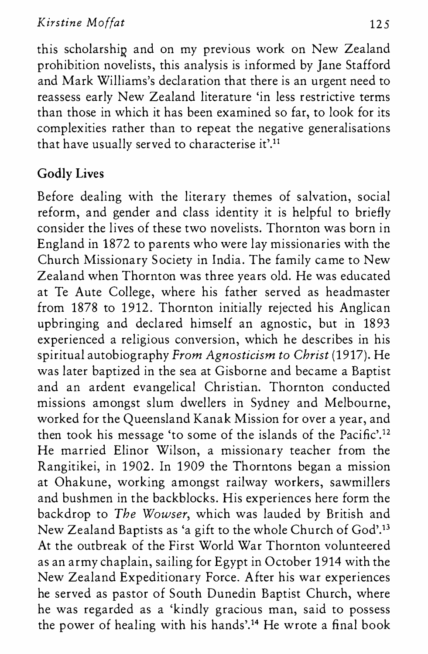this scholarship and on my previous work on New Zealand prohibition novelists, this analysis is informed by Jane Stafford and Mark Williams's declaration that there is an urgent need to reassess early New Zealand literature 'in less restrictive terms than those in which it has been examined so far, to look for its complexities rather than to repeat the negative generalisations that have usually served to characterise it'.<sup>11</sup>

## **Godly Lives**

Before dealing with the literary themes of salvation, social reform, and gender and class identity it is helpful to briefly consider the lives of these two novelists. Thornton was born in England in 1872 to parents who were lay missionaries with the Church Missionary Society in India. The family came to New Zealand when Thornton was three years old. He was educated at Te Aute College, where his father served as headmaster from 1878 to 1912. Thornton initially rejected his Anglican upbringing and declared himself an agnostic, but in 1893 experienced a religious conversion, which he describes in his spiritual autobiography *From Agnosticism to Christ* (1917). He was later baptized in the sea at Gisborne and became a Baptist and an ardent evangelical Christian. Thornton conducted missions amongst slum dwellers in Sydney and Melbourne, worked for the Queensland Kanak Mission for over a year, and then took his message 'to some of the islands of the Pacific'.<sup>12</sup> He married Elinor Wilson, a missionary teacher from the Rangitikei, in 1902. In 1909 the Thorntons began a mission at Ohakune, working amongst railway workers, sawmillers and bushmen in the backblocks. His experiences here form the backdrop to *The Wowser,* which was lauded by British and New Zealand Baptists as 'a gift to the whole Church of God'.13 At the outbreak of the First World War Thornton volunteered as an army chaplain, sailing for Egypt in October 1914 with the New Zealand Expeditionary Force. After his war experiences he served as pastor of South Dunedin Baptist Church, where he was regarded as a 'kindly gracious man, said to possess the power of healing with his hands'.14 He wrote a final book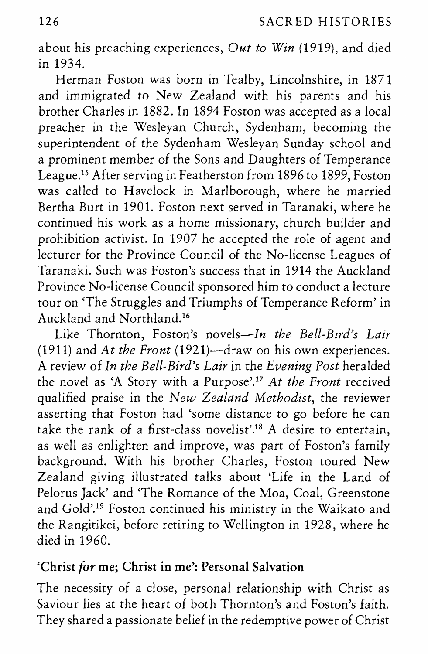about his preaching experiences, *Out to Win* (1919), and died in 1934.

Herman Foston was born in Tealby, Lincolnshire, in 1871 and immigrated to New Zealand with his parents and his brother Charles in 1882. In 1894 Foston was accepted as a local preacher in the Wesleyan Church, Sydenham, becoming the superintendent of the Sydenham Wesleyan Sunday school and a prominent member of the Sons and Daughters of Temperance League.15 After serving in Featherston from 1896 to 1899, Foston was called to Havelock in Marlborough, where he married Bertha Burt in 1901. Foston next served in Taranaki, where he continued his work as a home missionary, church builder and prohibition activist. In 1907 he accepted the role of agent and lecturer for the Province Council of the No-license Leagues of Taranaki. Such was Foston's success that in 1914 the Auckland Province No-license Council sponsored him to conduct a lecture tour on 'The Struggles and Triumphs of Temperance Reform' in Auckland and Northland.16

Like Thornton, Foston's *novels-In the Bell-Bird's Lair*  (1911) and *At the Front* (1921)-draw on his own experiences. A review of *In the Bell-Bird's Lair* in the *Evening Post* heralded the novel as 'A Story with a Purpose'. <sup>17</sup>*At the Front* received qualified praise in the *New Zealand Methodist,* the reviewer asserting that Foston had 'some distance to go before he can take the rank of a first-class novelist'.18 A desire to entertain, as well as enlighten and improve, was part of Foston's family background. With his brother Charles, Foston toured New Zealand giving illustrated talks about 'Life in the Land of Pelorus Jack' and 'The Romance of the Moa, Coal, Greenstone and Gold'.19 Foston continued his ministry in the Waikato and the Rangitikei, before retiring to Wellington in 1928, where he died in 1960.

#### 'Christ *for* me; Christ in me': Personal Salvation

The necessity of a close, personal relationship with Christ as Saviour lies at the heart of both Thornton's and Foston's faith. They shared a passionate belief in the redemptive power of Christ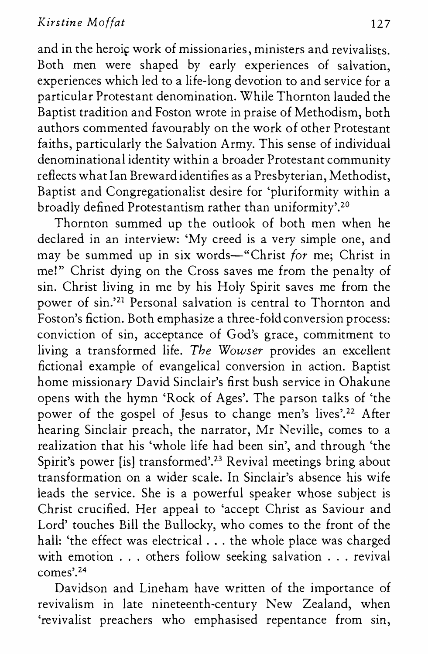and in the heroic work of missionaries, ministers and revivalists. Both men were shaped by early experiences of salvation, experiences which led to a life-long devotion to and service for a particular Protestant denomination. While Thornton lauded the Baptist tradition and Foston wrote in praise of Methodism, both authors commented favourably on the work of other Protestant faiths, particularly the Salvation Army. This sense of individual denominational identity within a broader Protestant community reflects what Ian Breward identifies as a Presbyterian, Methodist, Baptist and Congregationalist desire for 'pluriformity within a broadly defined Protestantism rather than uniformity'.<sup>20</sup>

Thornton summed up the outlook of both men when he declared in an interview: 'My creed is a very simple one, and may be summed up in six words-"Christ *for* me; Christ in me!" Christ dying on the Cross saves me from the penalty of sin. Christ living in me by his Holy Spirit saves me from the power of sin.<sup>'21</sup> Personal salvation is central to Thornton and Foston's fiction. Both emphasize a three-fold conversion process: conviction of sin, acceptance of God's grace, commitment to living a transformed life. *The Wowser* provides an excellent fictional example of evangelical conversion in action. Baptist home missionary David Sinclair's first bush service in Ohakune opens with the hymn 'Rock of Ages'. The parson talks of 'the power of the gospel of Jesus to change men's lives'.<sup>22</sup> After hearing Sinclair preach, the narrator, Mr Neville, comes to a realization that his 'whole life had been sin', and through 'the Spirit's power [is] transformed'.<sup>23</sup> Revival meetings bring about transformation on a wider scale. In Sinclair's absence his wife leads the service. She is a powerful speaker whose subject is Christ crucified. Her appeal to 'accept Christ as Saviour and Lord' touches Bill the Bullocky, who comes to the front of the hall: 'the effect was electrical . . . the whole place was charged with emotion ... others follow seeking salvation ... revival comes'.24

Davidson and Lineham have written of the importance of revivalism in late nineteenth-century New Zealand, when 'revivalist preachers who emphasised repentance from sin,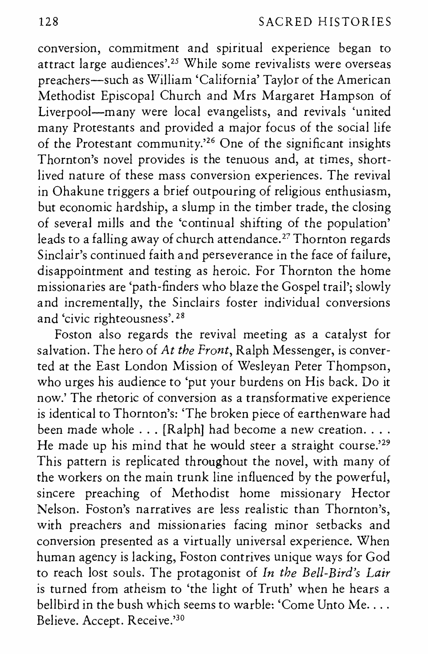conversion, commitment and spiritual experience began to attract large audiences'.25 While some revivalists were overseas preachers-such as William 'California' Taylor of the American Methodist Episcopal Church and Mrs Margaret Hampson of Liverpool-many were local evangelists, and revivals 'united many Protestants and provided a major focus of the social life of the Protestant community.<sup>26</sup> One of the significant insights Thornton's novel provides is the tenuous and, at times, shortlived nature of these mass conversion experiences. The revival in Ohakune triggers a brief outpouring of religious enthusiasm, but economic hardship, a slump in the timber trade, the closing of several mills and the 'continual shifting of the population' leads to a falling away of church attendance. 27 Thornton regards Sinclair's continued faith and perseverance in the face of failure, disappointment and testing as heroic. For Thornton the home missionaries are 'path-finders who blaze the Gospel trail'; slowly and incrementally, the Sinclairs foster individual conversions and 'civic righteousness'. 28

Foston also regards the revival meeting as a catalyst for salvation. The hero of *At the Front,* Ralph Messenger, is converted at the East London Mission of Wesleyan Peter Thompson, who urges his audience to 'put your burdens on His back. Do it now.' The rhetoric of conversion as a transformative experience is identical to Thornton's: 'The broken piece of earthenware had been made whole  $\dots$  [Ralph] had become a new creation. $\dots$ He made up his mind that he would steer a straight course.<sup>'29</sup> This pattern is replicated throughout the novel, with many of the workers on the main trunk line influenced by the powerful, sincere preaching of Methodist home missionary Hector Nelson. Foston's narratives are less realistic than Thornton's, with preachers and missionaries facing minor setbacks and conversion presented as a virtually universal experience. When human agency is lacking, Foston contrives unique ways for God to reach lost souls. The protagonist of *In the Bell-Bird's Lair*  is turned from atheism to 'the light of Truth' when he hears a bellbird in the bush which seems to warble: 'Come Unto Me.... Believe. Accept. Receive.'30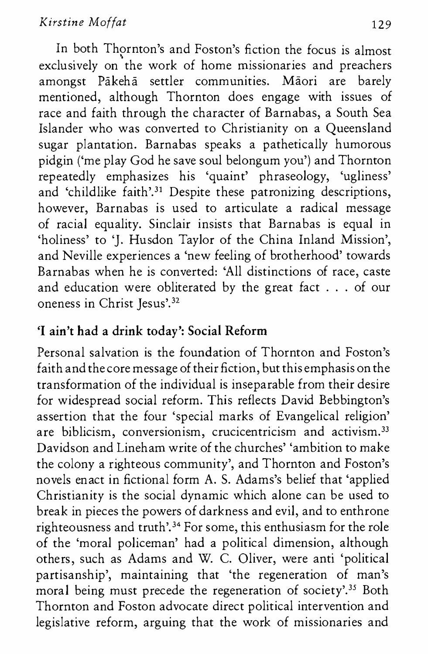#### *Kirstine Moffat* 129

In both Thornton's and Foston's fiction the focus is almost exclusively on the work of home missionaries and preachers amongst Pakeha settler communities. Maori are barely mentioned, although Thornton does engage with issues of race and faith through the character of Barnabas, a South Sea Islander who was converted to Christianity on a Queensland sugar plantation. Barnabas speaks a pathetically humorous pidgin ('me play God he save soul belongum you') and Thornton repeatedly emphasizes his 'quaint' phraseology, 'ugliness' and 'childlike faith'.<sup>31</sup> Despite these patronizing descriptions, however, Barnabas is used to articulate a radical message of racial equality. Sinclair insists that Barnabas is equal in 'holiness' to 'J. Husdon Taylor of the China Inland Mission', and Neville experiences a 'new feeling of brotherhood' towards Barnabas when he is converted: 'All distinctions of race, caste and education were obliterated by the great fact . . . of our oneness in Christ Jesus'. <sup>32</sup>

### 'I **ain't had a drink today': Social Reform**

Personal salvation is the foundation of Thornton and Foston's faith and the core message of their fiction, but this emphasis on the transformation of the individual is inseparable from their desire for widespread social reform. This reflects David Bebbington's assertion that the four 'special marks of Evangelical religion' are biblicism, conversionism, crucicentricism and activism.<sup>33</sup> Davidson and Lineham write of the churches' 'ambition to make the colony a righteous community', and Thornton and Foston's novels enact in fictional form A. S. Adams's belief that 'applied Christianity is the social dynamic which alone can be used to break in pieces the powers of darkness and evil, and to enthrone righteousness and truth'. 34 For some, this enthusiasm for the role of the 'moral policeman' had a political dimension, although others, such as Adams and W. C. Oliver, were anti 'political partisanship', maintaining that 'the regeneration of man's moral being must precede the regeneration of society'.<sup>35</sup> Both Thornton and Foston advocate direct political intervention and legislative reform, arguing that the work of missionaries and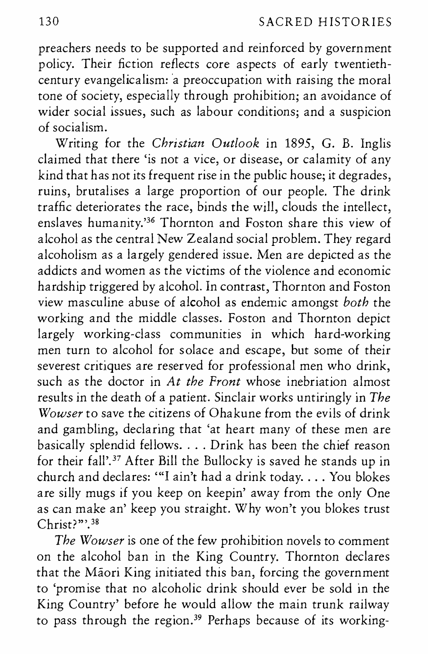preachers needs to be supported and reinforced by government policy. Their fiction reflects core aspects of early twentiethcentury evangelicalism: a preoccupation with raising the moral tone of society, especially through prohibition; an avoidance of wider social issues, such as labour conditions; and a suspicion of socialism.

Writing for the *Christian Outlook* in 1895, G. B. Inglis claimed that there 'is not a vice, or disease, or calamity of any kind that has not its frequent rise in the public house; it degrades, ruins, brutalises a large proportion of our people. The drink traffic deteriorates the race, binds the will, clouds the intellect, enslaves humanity.'36 Thornton and Foston share this view of alcohol as the central New Zealand social problem. They regard alcoholism as a largely gendered issue. Men are depicted as the addicts and women as the victims of the violence and economic hardship triggered by alcohol. In contrast, Thornton and Foston view masculine abuse of alcohol as endemic amongst *both* the working and the middle classes. Foston and Thornton depict largely working-class communities in which hard-working men turn to alcohol for solace and escape, but some of their severest critiques are reserved for professional men who drink, such as the doctor in *At the Front* whose inebriation almost results in the death of a patient. Sinclair works untiringly in *The Wowser* to save the citizens of Ohakune from the evils of drink and gambling, declaring that 'at heart many of these men are basically splendid fellows .... Drink has been the chief reason for their fall'. 37 After Bill the Bullocky is saved he stands up in church and declares: "I ain't had a drink today.... You blokes are silly mugs if you keep on keepin' away from the only One as can make an' keep you straight. Why won't you blokes trust Christ?"'.<sup>38</sup>

*The Wowser* is one of the few prohibition novels to comment on the alcohol ban in the King Country. Thornton declares that the Maori King initiated this ban, forcing the government to 'promise that no alcoholic drink should ever be sold in the King Country' before he would allow the main trunk railway to pass through the region.<sup>39</sup> Perhaps because of its working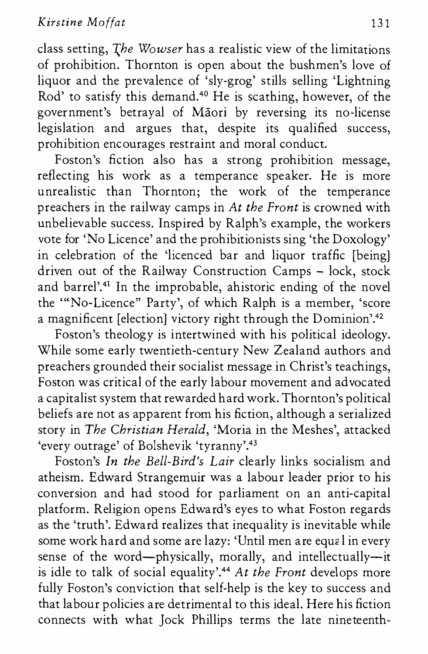class setting, *The Wowser* has a realistic view of the limitations of prohibition. Thornton is open about the bushmen's love of liquor and the prevalence of 'sly-grog' stills selling 'Lightning Rod' to satisfy this demand.<sup>40</sup> He is scathing, however, of the government's betrayal of Maori by reversing its no-license legislation and argues that, despite its qualified success, prohibition encourages restraint and moral conduct.

Foston's fiction also has a strong prohibition message, reflecting his work as a temperance speaker. He is more unrealistic than Thornton; the work of the temperance preachers in the railway camps in *At the Front* is crowned with unbelievable success. Inspired by Ralph's example, the workers vote for 'No Licence' and the prohibitionists sing 'the Doxology' in celebration of the 'licenced bar and liquor traffic [being] driven out of the Railway Construction Camps - lock, stock and barrel'.41 In the improbable, ahistoric ending of the novel the "'No-Licence" Party', of which Ralph is a member, 'score a magnificent [election] victory right through the Dominion'.<sup>42</sup>

Foston's theology is intertwined with his political ideology. While some early twentieth-century New Zealand authors and preachers grounded their socialist message in Christ's teachings, Foston was critical of the early labour movement and advocated a capitalist system that rewarded hard work. Thornton's political beliefs are not as apparent from his fiction, although a serialized story in *The Christian Herald,* 'Moria in the Meshes', attacked 'every outrage' of Bolshevik 'tyranny'.43

Foston's *In the Bell-Bird's Lair* clearly links socialism and atheism. Edward Strangemuir was a labour leader prior to his conversion and had stood for parliament on an anti-capital platform. Religion opens Edward's eyes to what Foston regards as the 'truth'. Edward realizes that inequality is inevitable while some work hard and some are lazy: 'Until men are equal in every sense of the word-physically, morally, and intellectually-it is idle to talk of social equality'.44 *At the Front* develops more fully Foston's conviction that self-help is the key to success and that labour policies are detrimental to this ideal. Here his fiction connects with what Jock Phillips terms the late nineteenth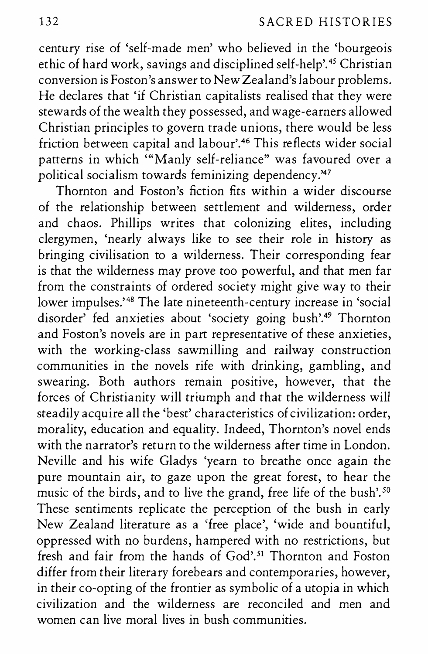century rise of 'self-made men' who believed in the 'bourgeois ethic of hard work, savings and disciplined self-help'.<sup>45</sup> Christian conversion is Foston's answer to New Zealand's Jabour problems. He declares that 'if Christian capitalists realised that they were stewards of the wealth they possessed, and wage-earners alJowed Christian principles to govern trade unions, there would be less friction between capital and labour'.<sup>46</sup> This reflects wider social patterns in which '"Manly self-reliance" was favoured over a political socialism towards feminizing dependency.'47

Thornton and Foston's fiction fits within a wider discourse of the relationship between settlement and wilderness, order and chaos. Phillips writes that colonizing elites, including clergymen, 'nearly always like to see their role in history as bringing civilisation to a wilderness. Their corresponding fear is that the wilderness may prove too powerful, and that men far from the constraints of ordered society might give way to their lower impulses.<sup>148</sup> The late nineteenth-century increase in 'social disorder' fed anxieties about 'society going bush'.49 Thornton and Foston's novels are in part representative of these anxieties, with the working-class sawmilling and railway construction communities in the novels rife with drinking, gambling, and swearing. Both authors remain positive, however, that the forces of Christianity will triumph and that the wilderness will steadily acquire all the 'best' characteristics of civilization: order, morality, education and equality. Indeed, Thornton's novel ends with the narrator's return to the wilderness after time in London. Neville and his wife Gladys 'yearn to breathe once again the pure mountain air, to gaze upon the great forest, to hear the music of the birds, and to live the grand, free life of the bush'.<sup>50</sup> These sentiments replicate the perception of the bush in early New Zealand literature as a 'free place', 'wide and bountiful, oppressed with no burdens, hampered with no restrictions, but fresh and fair from the hands of  $God<sup>51</sup>$ . Thornton and Foston differ from their literary forebears and contemporaries, however, in their co-opting of the frontier as symbolic of a utopia in which civilization and the wilderness are reconciled and men and women can live moral lives in bush communities.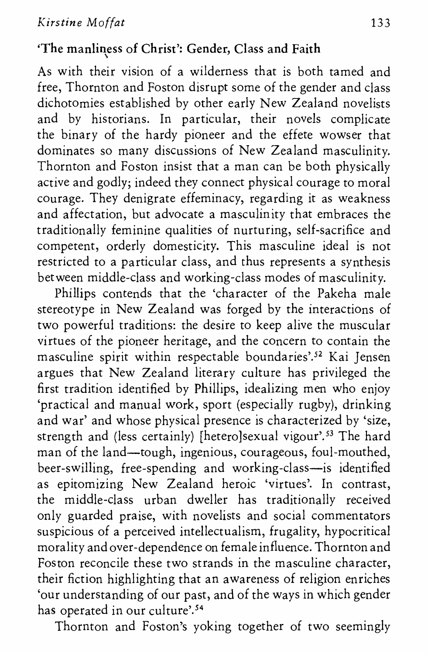## 'The manliness of Christ': Gender, Class and Faith \

As with their vision of a wilderness that is both tamed and free, Thornton and Foston disrupt some of the gender and class dichotomies established by other early New Zealand novelists and by historians. In particular, their novels complicate the binary of the hardy pioneer and the effete wowser that dominates so many discussions of New Zealand masculinity. Thornton and Foston insist that a man can be both physically active and godly; indeed they connect physical courage to moral courage. They denigrate effeminacy, regarding it as weakness and affectation, but advocate a masculinity that embraces the traditionally feminine qualities of nurturing, self-sacrifice and competent, orderly domesticity. This masculine ideal is not restricted to a particular class, and thus represents a synthesis between middle-class and working-class modes of masculinity.

Phillips contends that the 'character of the Pakeha male stereotype in New Zealand was forged by the interactions of two powerful traditions: the desire to keep alive the muscular virtues of the pioneer heritage, and the concern to contain the masculine spirit within respectable boundaries'.52 Kai Jensen argues that New Zealand literary culture has privileged the first tradition identified by Phillips, idealizing men who enjoy 'practical and manual work, sport (especially rugby), drinking and war' and whose physical presence is characterized by 'size, strength and (less certainly) [hetero]sexual vigour'.<sup>53</sup> The hard man of the land—tough, ingenious, courageous, foul-mouthed, beer-swilling, free-spending and working-class--is identified as epitomizing New Zealand heroic 'virtues'. In contrast, the middle-class urban dweller has traditionally received only guarded praise, with novelists and social commentators suspicious of a perceived intellectualism, frugality, hypocritical morality and over-dependence on female influence. Thornton and Foston reconcile these two strands in the masculine character, their fiction highlighting that an awareness of religion enriches 'our understanding of our past, and of the ways in which gender has operated in our culture'.<sup>54</sup>

Thornton and Foston's yoking together of two seemingly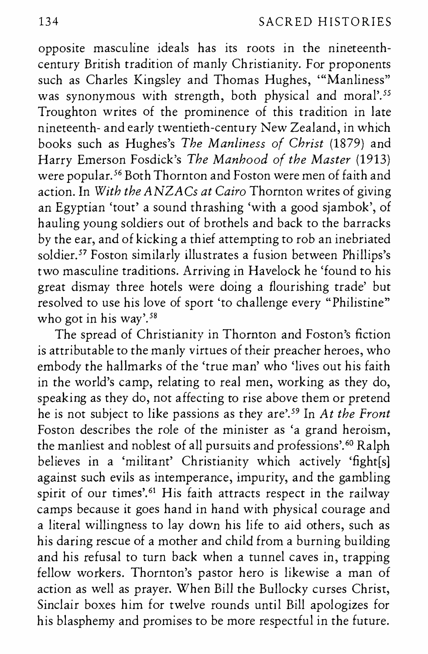opposite masculine ideals has its roots in the nineteenthcentury British tradition of manly Christianity. For proponents such as Charles Kingsley and Thomas Hughes, '"Manliness" was synonymous with strength, both physical and moral'.<sup>55</sup> Troughton writes of the prominence of this tradition in late nineteenth- and early twentieth-century New Zealand, in which books such as Hughes's *The Manliness of Christ* (1879) and Harry Emerson Fosdick's *The Manhood of the Master* (1913) were popular. 56 Both Thornton and Foston were men of faith and action. In *With the ANZACs at Cairo* Thornton writes of giving an Egyptian 'tout' a sound thrashing 'with a good sjambok', of hauling young soldiers out of brothels and back to the barracks by the ear, and of kicking a thief attempting to rob an inebriated soldier.<sup>57</sup> Foston similarly illustrates a fusion between Phillips's two masculine traditions. Arriving in Havelock he 'found to his great dismay three hotels were doing a flourishing trade' but resolved to use his love of sport 'to challenge every "Philistine" who got in his way'. *<sup>58</sup>*

The spread of Christianity in Thornton and Foston's fiction is attributable to the manly virtues of their preacher heroes, who embody the hallmarks of the 'true man' who 'lives out his faith in the world's camp, relating to real men, working as they do, speaking as they do, not affecting to rise above them or pretend he is not subject to like passions as they are'. 59 In *At the Front*  Foston describes the role of the minister as 'a grand heroism, the manliest and noblest of all pursuits and professions'. 60 Ralph believes in a 'militant' Christianity which actively 'fight[s] against such evils as intemperance, impurity, and the gambling spirit of our times'.<sup>61</sup> His faith attracts respect in the railway camps because it goes hand in hand with physical courage and a literal willingness to lay down his life to aid others, such as his daring rescue of a mother and child from a burning building and his refusal to turn back when a tunnel caves in, trapping fellow workers. Thornton's pastor hero is likewise a man of action as well as prayer. When Bill the Bullocky curses Christ, Sinclair boxes him for twelve rounds until Bill apologizes for his blasphemy and promises to be more respectful in the future.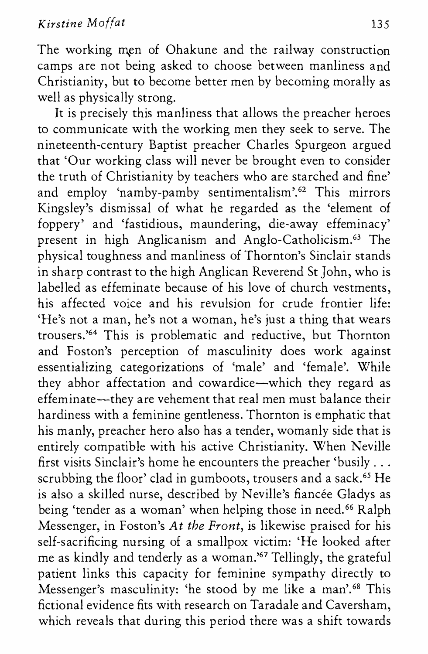The working men of Ohakune and the railway construction camps are not being asked to choose between manliness and Christianity, but to become better men by becoming morally as well as physically strong.

It is precisely this manliness that allows the preacher heroes to communicate with the working men they seek to serve. The nineteenth-century Baptist preacher Charles Spurgeon argued that 'Our working class will never be brought even to consider the truth of Christianity by teachers who are starched and fine' and employ 'namby-pamby sentimentalism'.62 This mirrors Kingsley's dismissal of what he regarded as the 'element of foppery' and 'fastidious, maundering, die-away effeminacy' present in high Anglicanism and Anglo-Catholicism.63 The physical toughness and manliness of Thornton's Sinclair stands in sharp contrast to the high Anglican Reverend St John, who is labelled as effeminate because of his love of church vestments, his affected voice and his revulsion for crude frontier life: 'He's not a man, he's not a woman, he's just a thing that wears trousers.'64 This is problematic and reductive, but Thornton and Foston's perception of masculinity does work against essentializing categorizations of 'male' and 'female'. While they abhor affectation and cowardice-which they regard as effeminate—they are vehement that real men must balance their hardiness with a feminine gentleness. Thornton is emphatic that his manly, preacher hero also has a tender, womanly side that is entirely compatible with his active Christianity. When Neville first visits Sinclair's home he encounters the preacher 'busily ... scrubbing the floor' clad in gumboots, trousers and a sack.<sup>65</sup> He is also a skilled nurse, described by Neville's fiancée Gladys as being 'tender as a woman' when helping those in need.<sup>66</sup> Ralph Messenger, in Foston's *At the Front,* is likewise praised for his self-sacrificing nursing of a smallpox victim: 'He looked after me as kindly and tenderly as a woman.'67 Tellingly, the grateful patient links this capacity for feminine sympathy directly to Messenger's masculinity: 'he stood by me like a man'.<sup>68</sup> This fictional evidence fits with research on Taradale and Caversham, which reveals that during this period there was a shift towards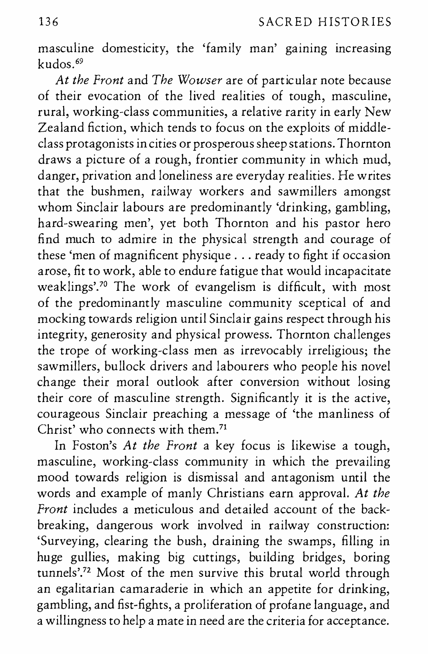masculine domesticity, the 'family man' gaining increasing kudos. <sup>69</sup>

*At the Front* and *The Wowser* are of particular note because of their evocation of the lived realities of tough, masculine, rural, working-class communities, a relative rarity in early New Zealand fiction, which tends to focus on the exploits of middleclass protagonists in cities or prosperous sheep stations. Thornton draws a picture of a rough, frontier community in which mud, danger, privation and loneliness are everyday realities. He writes that the bushmen, railway workers and sawmillers amongst whom Sinclair labours are predominantly 'drinking, gambling, hard-swearing men', yet both Thornton and his pastor hero find much to admire in the physical strength and courage of these 'men of magnificent physique ... ready to fight if occasion arose, fit to work, able to endure fatigue that would incapacitate weaklings'.70 The work of evangelism is difficult, with most of the predominantly masculine community sceptical of and mocking towards religion until Sinclair gains respect through his integrity, generosity and physical prowess. Thornton challenges the trope of working-class men as irrevocably irreligious; the sawmillers, bullock drivers and labourers who people his novel change their moral outlook after conversion without losing their core of masculine strength. Significantly it is the active, courageous Sinclair preaching a message of 'the manliness of Christ' who connects with them.<sup>71</sup>

In Foston's *At the Front* a key focus is likewise a tough, masculine, working-class community in which the prevailing mood towards religion is dismissal and antagonism until the words and example of manly Christians earn approval. *At the Front* includes a meticulous and detailed account of the backbreaking, dangerous work involved in railway construction: 'Surveying, clearing the bush, draining the swamps, filling in huge gullies, making big cuttings, building bridges, boring tunnels'.72 Most of the men survive this brutal world through an egalitarian camaraderie in which an appetite for drinking, gambling, and fist-fights, a proliferation of profane language, and a willingness to help a mate in need are the criteria for acceptance.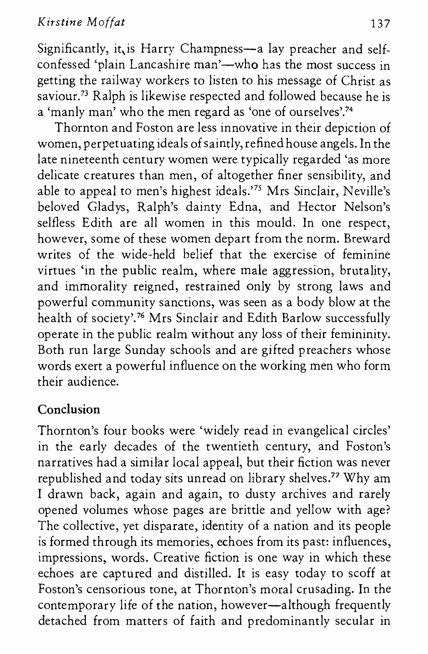Significantly, it is Harry Champness-a lay preacher and selfconfessed 'plain Lancashire man'—who has the most success in getting the railway workers to listen to his message of Christ as saviour.73 Ralph is likewise respected and followed because he is a 'manly man' who the men regard as 'one of ourselves'.74

Thornton and Foston are less innovative in their depiction of women, perpetuating ideals of saintly, refined house angels. In the late nineteenth century women were typically regarded 'as more delicate creatures than men, of altogether finer sensibility, and able to appeal to men's highest ideals.'75 Mrs Sinclair, Neville's beloved Gladys, Ralph's dainty Edna, and Hector Nelson's selfless Edith are all women in this mould. In one respect, however, some of these women depart from the norm. Breward writes of the wide-held belief that the exercise of feminine virtues 'in the public realm, where male aggression, brutality, and immorality reigned, restrained only by strong laws and powerful community sanctions, was seen as a body blow at the health of society'.76 Mrs Sinclair and Edith Barlow successfully operate in the public realm without any loss of their femininity. Both run large Sunday schools and are gifted preachers whose words exert a powerful influence on the working men who form their audience.

## **Conclusion**

Thornton's four books were 'widely read in evangelical circles' in the early decades of the twentieth century, and Foston's narratives had a similar local appeal, but their fiction was never republished and today sits unread on library shelves.77 Why am I drawn back, again and again, to dusty archives and rarely opened volumes whose pages are brittle and yellow with age? The collective, yet disparate, identity of a nation and its people is formed through its memories, echoes from its past: influences, impressions, words. Creative fiction is one way in which these echoes are captured and distilled. It is easy today to scoff at Foston's censorious tone, at Thornton's moral crusading. In the contemporary life of the nation, however-although frequently detached from matters of faith and predominantly secular in